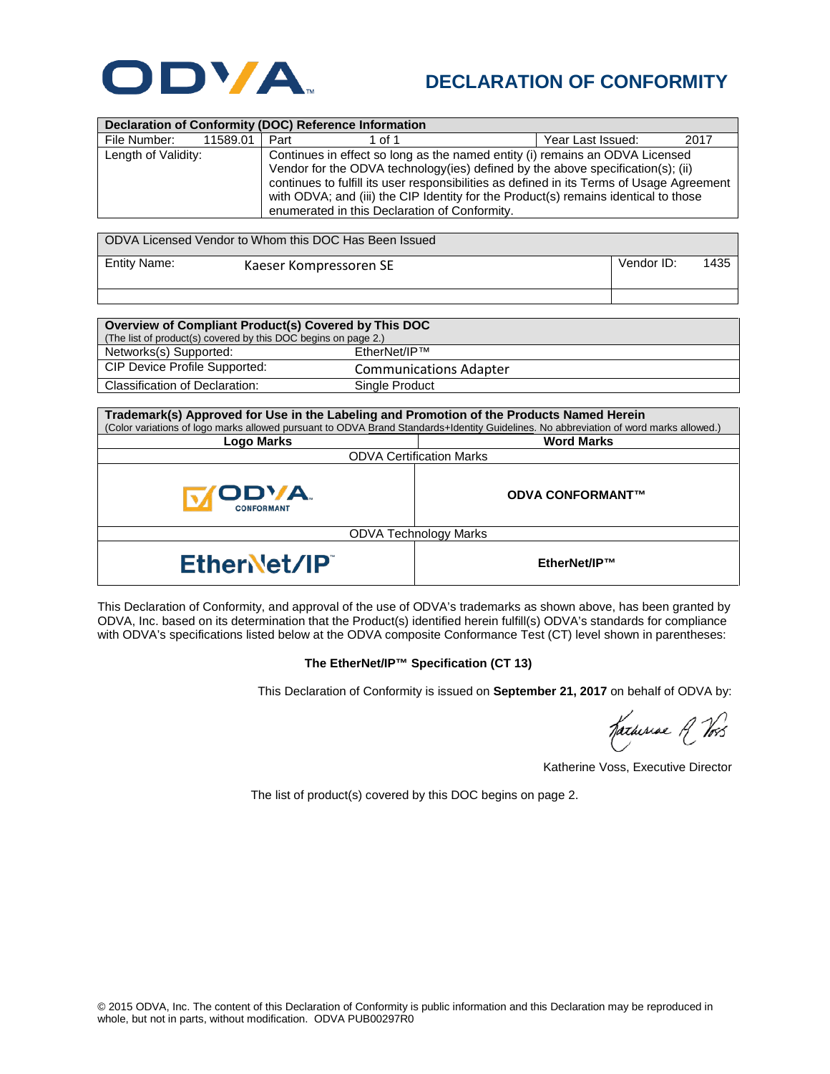

## **DECLARATION OF CONFORMITY**

| <b>Declaration of Conformity (DOC) Reference Information</b> |          |                                                                                                                                                                                                                                                                                                                                                                                                       |        |                   |      |  |  |
|--------------------------------------------------------------|----------|-------------------------------------------------------------------------------------------------------------------------------------------------------------------------------------------------------------------------------------------------------------------------------------------------------------------------------------------------------------------------------------------------------|--------|-------------------|------|--|--|
| File Number:                                                 | 11589.01 | Part                                                                                                                                                                                                                                                                                                                                                                                                  | 1 of 1 | Year Last Issued: | 2017 |  |  |
| Length of Validity:                                          |          | Continues in effect so long as the named entity (i) remains an ODVA Licensed<br>Vendor for the ODVA technology (ies) defined by the above specification(s); (ii)<br>continues to fulfill its user responsibilities as defined in its Terms of Usage Agreement<br>with ODVA; and (iii) the CIP Identity for the Product(s) remains identical to those<br>enumerated in this Declaration of Conformity. |        |                   |      |  |  |

| ODVA Licensed Vendor to Whom this DOC Has Been Issued |                        |            |      |  |  |
|-------------------------------------------------------|------------------------|------------|------|--|--|
| Entity Name:                                          | Kaeser Kompressoren SE | Vendor ID: | 1435 |  |  |

| Overview of Compliant Product(s) Covered by This DOC           |                               |  |  |  |
|----------------------------------------------------------------|-------------------------------|--|--|--|
| (The list of product(s) covered by this DOC begins on page 2.) |                               |  |  |  |
| Networks(s) Supported:                                         | FtherNet/IP™                  |  |  |  |
| <b>CIP Device Profile Supported:</b>                           | <b>Communications Adapter</b> |  |  |  |
| Classification of Declaration:                                 | Single Product                |  |  |  |

| Trademark(s) Approved for Use in the Labeling and Promotion of the Products Named Herein<br>(Color variations of logo marks allowed pursuant to ODVA Brand Standards+Identity Guidelines. No abbreviation of word marks allowed.) |                         |  |  |  |
|-----------------------------------------------------------------------------------------------------------------------------------------------------------------------------------------------------------------------------------|-------------------------|--|--|--|
| <b>Logo Marks</b>                                                                                                                                                                                                                 | <b>Word Marks</b>       |  |  |  |
| <b>ODVA Certification Marks</b>                                                                                                                                                                                                   |                         |  |  |  |
| <b>ODVA.</b><br><b>CONFORMANT</b>                                                                                                                                                                                                 | <b>ODVA CONFORMANT™</b> |  |  |  |
| <b>ODVA Technology Marks</b>                                                                                                                                                                                                      |                         |  |  |  |
| EtherNet/IP                                                                                                                                                                                                                       | EtherNet/IP™            |  |  |  |

This Declaration of Conformity, and approval of the use of ODVA's trademarks as shown above, has been granted by ODVA, Inc. based on its determination that the Product(s) identified herein fulfill(s) ODVA's standards for compliance with ODVA's specifications listed below at the ODVA composite Conformance Test (CT) level shown in parentheses:

## **The EtherNet/IP™ Specification (CT 13)**

This Declaration of Conformity is issued on **September 21, 2017** on behalf of ODVA by:

Katheriae A Vos

Katherine Voss, Executive Director

The list of product(s) covered by this DOC begins on page 2.